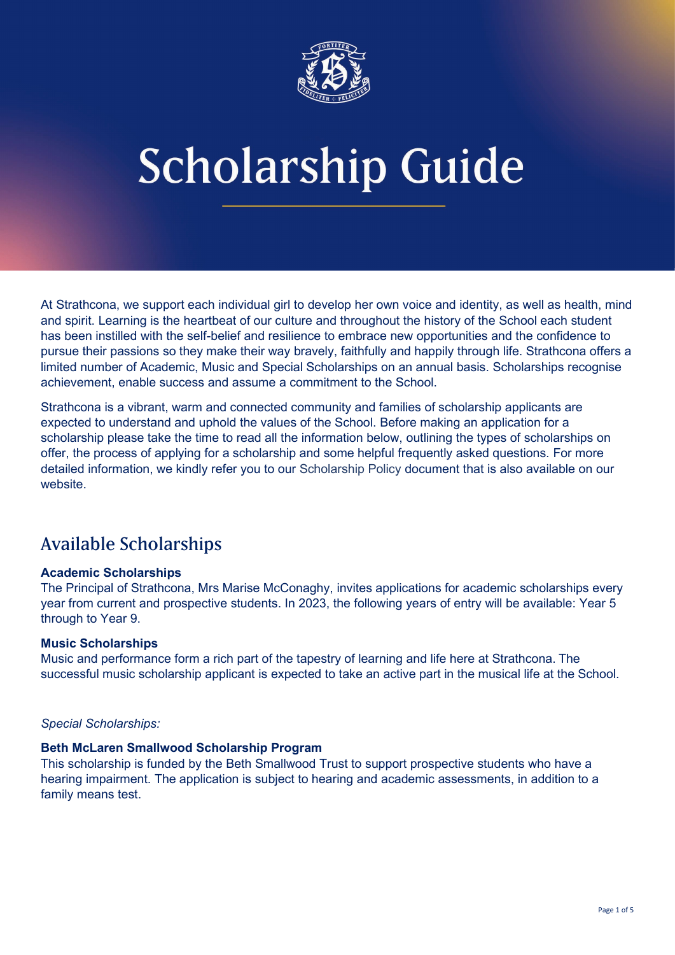

At Strathcona, we support each individual girl to develop her own voice and identity, as well as health, mind and spirit. Learning is the heartbeat of our culture and throughout the history of the School each student has been instilled with the self-belief and resilience to embrace new opportunities and the confidence to pursue their passions so they make their way bravely, faithfully and happily through life. Strathcona offers a limited number of Academic, Music and Special Scholarships on an annual basis. Scholarships recognise achievement, enable success and assume a commitment to the School.

Strathcona is a vibrant, warm and connected community and families of scholarship applicants are expected to understand and uphold the values of the School. Before making an application for a scholarship please take the time to read all the information below, outlining the types of scholarships on offer, the process of applying for a scholarship and some helpful frequently asked questions. For more detailed information, we kindly refer you to our [Scholarship Policy](http://strathgirls.stuartcoxdesign.com/wp-content/uploads/2020Strathcona_ScholarshipPolicy.pdf) document that is also available on our website.

# Available Scholarships

## **Academic Scholarships**

The Principal of Strathcona, Mrs Marise McConaghy, invites applications for academic scholarships every year from current and prospective students. In 2023, the following years of entry will be available: Year 5 through to Year 9.

## **Music Scholarships**

Music and performance form a rich part of the tapestry of learning and life here at Strathcona. The successful music scholarship applicant is expected to take an active part in the musical life at the School.

## *Special Scholarships:*

### **Beth McLaren Smallwood Scholarship Program**

This scholarship is funded by the Beth Smallwood Trust to support prospective students who have a hearing impairment. The application is subject to hearing and academic assessments, in addition to a family means test.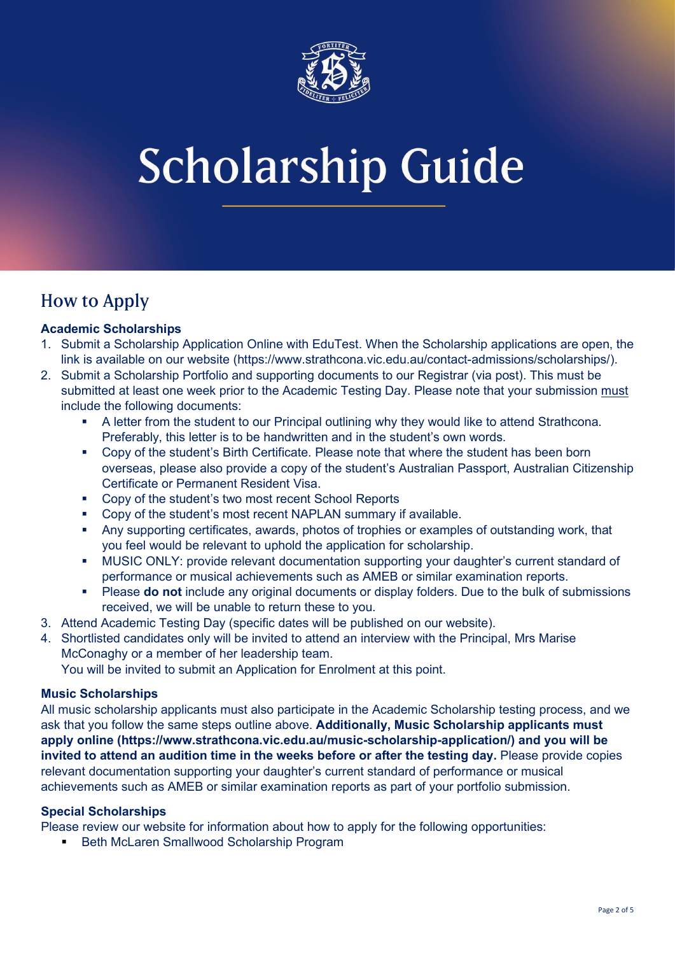

# How to Apply

## **Academic Scholarships**

- 1. Submit a Scholarship Application Online with EduTest. When the Scholarship applications are open, the link is available on our website [\(https://www.strathcona.vic.edu.au/contact-admissions/scholarships/\)](https://www.strathcona.vic.edu.au/contact-admissions/scholarships/).
- 2. Submit a Scholarship Portfolio and supporting documents to our Registrar (via post). This must be submitted at least one week prior to the Academic Testing Day. Please note that your submission must include the following documents:
	- A letter from the student to our Principal outlining why they would like to attend Strathcona. Preferably, this letter is to be handwritten and in the student's own words.
	- Copy of the student's Birth Certificate. Please note that where the student has been born overseas, please also provide a copy of the student's Australian Passport, Australian Citizenship Certificate or Permanent Resident Visa.
	- Copy of the student's two most recent School Reports
	- Copy of the student's most recent NAPLAN summary if available.
	- Any supporting certificates, awards, photos of trophies or examples of outstanding work, that you feel would be relevant to uphold the application for scholarship.
	- MUSIC ONLY: provide relevant documentation supporting your daughter's current standard of performance or musical achievements such as AMEB or similar examination reports.
	- Please **do not** include any original documents or display folders. Due to the bulk of submissions received, we will be unable to return these to you.
- 3. Attend Academic Testing Day (specific dates will be published on our website).
- 4. Shortlisted candidates only will be invited to attend an interview with the Principal, Mrs Marise McConaghy or a member of her leadership team.

You will be invited to submit an Application for Enrolment at this point.

## **Music Scholarships**

All music scholarship applicants must also participate in the Academic Scholarship testing process, and we ask that you follow the same steps outline above. **Additionally, Music Scholarship applicants must apply online [\(https://www.strathcona.vic.edu.au/music-scholarship-application/\)](https://www.strathcona.vic.edu.au/music-scholarship-application/) and you will be invited to attend an audition time in the weeks before or after the testing day.** Please provide copies relevant documentation supporting your daughter's current standard of performance or musical achievements such as AMEB or similar examination reports as part of your portfolio submission.

## **Special Scholarships**

Please review our website for information about how to apply for the following opportunities:

**Beth McLaren Smallwood Scholarship Program**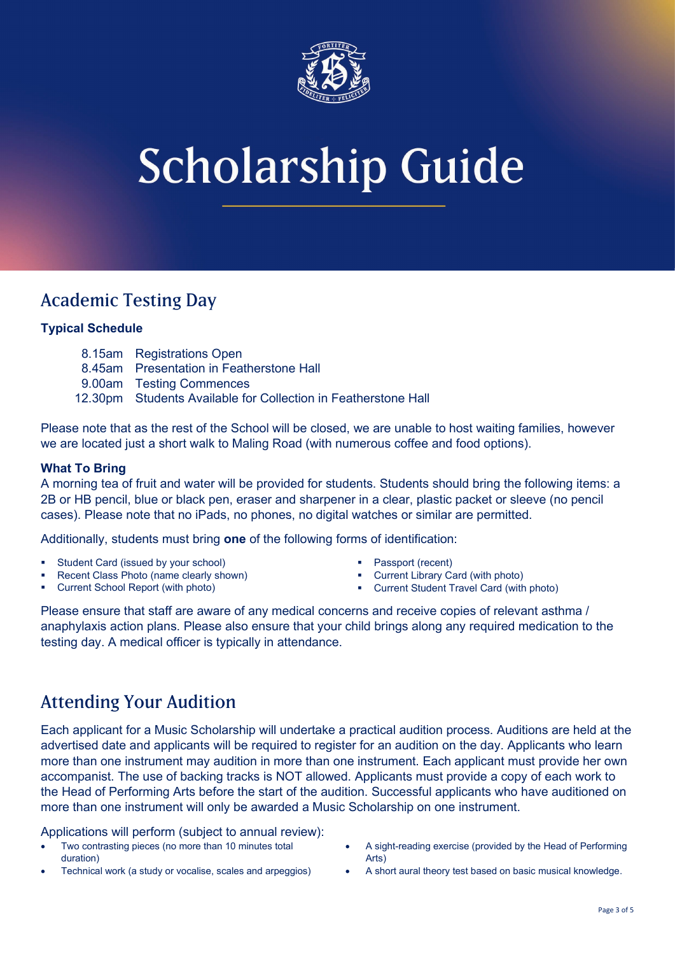

# Academic Testing Day

## **Typical Schedule**

- 8.15am Registrations Open
- 8.45am Presentation in Featherstone Hall
- 9.00am Testing Commences
- 12.30pm Students Available for Collection in Featherstone Hall

Please note that as the rest of the School will be closed, we are unable to host waiting families, however we are located just a short walk to Maling Road (with numerous coffee and food options).

## **What To Bring**

A morning tea of fruit and water will be provided for students. Students should bring the following items: a 2B or HB pencil, blue or black pen, eraser and sharpener in a clear, plastic packet or sleeve (no pencil cases). Please note that no iPads, no phones, no digital watches or similar are permitted.

Additionally, students must bring **one** of the following forms of identification:

- Student Card (issued by your school)
- Recent Class Photo (name clearly shown)
- Current School Report (with photo)
- Passport (recent)
- Current Library Card (with photo)
- Current Student Travel Card (with photo)

Please ensure that staff are aware of any medical concerns and receive copies of relevant asthma / anaphylaxis action plans. Please also ensure that your child brings along any required medication to the testing day. A medical officer is typically in attendance.

# Attending Your Audition

Each applicant for a Music Scholarship will undertake a practical audition process. Auditions are held at the advertised date and applicants will be required to register for an audition on the day. Applicants who learn more than one instrument may audition in more than one instrument. Each applicant must provide her own accompanist. The use of backing tracks is NOT allowed. Applicants must provide a copy of each work to the Head of Performing Arts before the start of the audition. Successful applicants who have auditioned on more than one instrument will only be awarded a Music Scholarship on one instrument.

Applications will perform (subject to annual review):

- Two contrasting pieces (no more than 10 minutes total duration)
- Technical work (a study or vocalise, scales and arpeggios)
- A sight-reading exercise (provided by the Head of Performing Arts)
- A short aural theory test based on basic musical knowledge.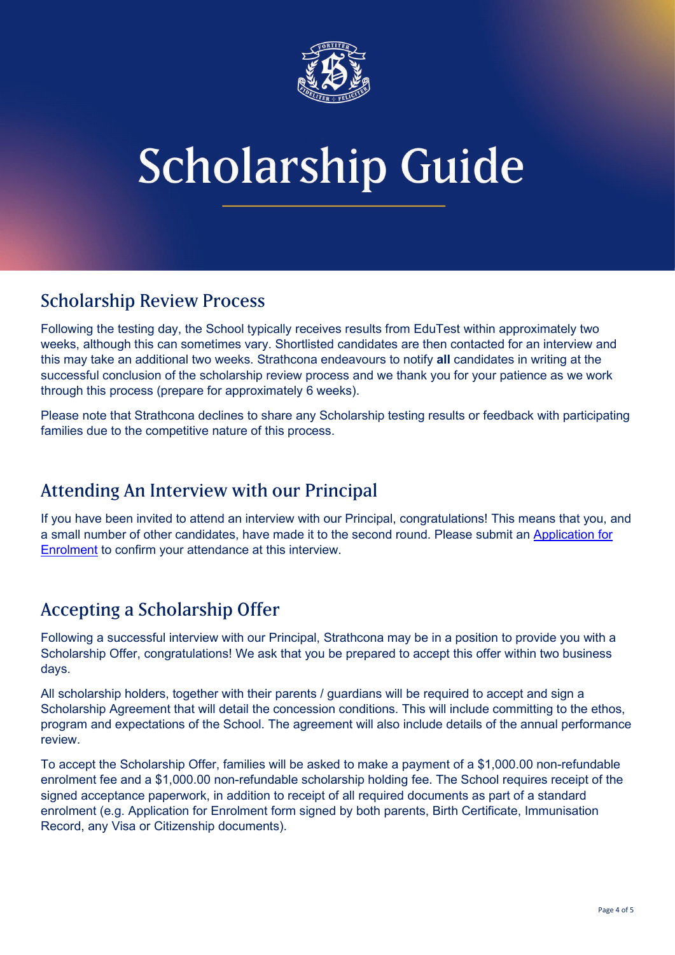

# Scholarship Review Process

Following the testing day, the School typically receives results from EduTest within approximately two weeks, although this can sometimes vary. Shortlisted candidates are then contacted for an interview and this may take an additional two weeks. Strathcona endeavours to notify **all** candidates in writing at the successful conclusion of the scholarship review process and we thank you for your patience as we work through this process (prepare for approximately 6 weeks).

Please note that Strathcona declines to share any Scholarship testing results or feedback with participating families due to the competitive nature of this process.

# Attending An Interview with our Principal

If you have been invited to attend an interview with our Principal, congratulations! This means that you, and a small number of other candidates, have made it to the second round. Please submit an [Application for](https://enrol.strathcona.vic.edu.au/enrolment/start)  [Enrolment](https://enrol.strathcona.vic.edu.au/enrolment/start) to confirm your attendance at this interview.

# Accepting a Scholarship Offer

Following a successful interview with our Principal, Strathcona may be in a position to provide you with a Scholarship Offer, congratulations! We ask that you be prepared to accept this offer within two business days.

All scholarship holders, together with their parents / guardians will be required to accept and sign a Scholarship Agreement that will detail the concession conditions. This will include committing to the ethos, program and expectations of the School. The agreement will also include details of the annual performance review.

To accept the Scholarship Offer, families will be asked to make a payment of a \$1,000.00 non-refundable enrolment fee and a \$1,000.00 non-refundable scholarship holding fee. The School requires receipt of the signed acceptance paperwork, in addition to receipt of all required documents as part of a standard enrolment (e.g. Application for Enrolment form signed by both parents, Birth Certificate, Immunisation Record, any Visa or Citizenship documents).